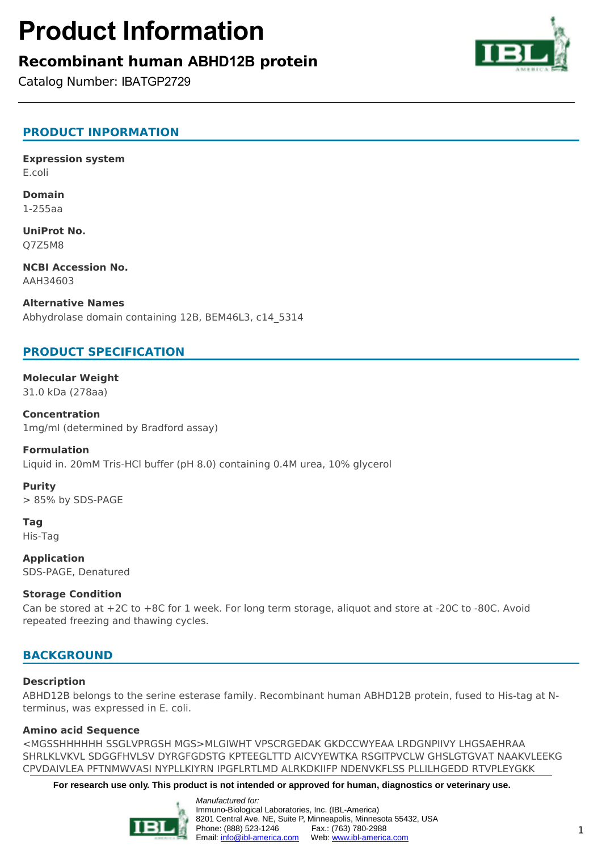# **Product Information**

# **Recombinant human ABHD12B protein**

Catalog Number: IBATGP2729



**Expression system** E.coli

**Domain** 1-255aa

**UniProt No.** Q7Z5M8

**NCBI Accession No.** AAH34603

**Alternative Names** Abhydrolase domain containing 12B, BEM46L3, c14\_5314

## **PRODUCT SPECIFICATION**

**Molecular Weight** 31.0 kDa (278aa)

**Concentration** 1mg/ml (determined by Bradford assay)

#### **Formulation**

Liquid in. 20mM Tris-HCl buffer (pH 8.0) containing 0.4M urea, 10% glycerol

#### **Purity**

> 85% by SDS-PAGE

**Tag** His-Tag

**Application** SDS-PAGE, Denatured

#### **Storage Condition**

Can be stored at +2C to +8C for 1 week. For long term storage, aliquot and store at -20C to -80C. Avoid repeated freezing and thawing cycles.

### **BACKGROUND**

#### **Description**

ABHD12B belongs to the serine esterase family. Recombinant human ABHD12B protein, fused to His-tag at Nterminus, was expressed in E. coli.

#### **Amino acid Sequence**

<MGSSHHHHHH SSGLVPRGSH MGS>MLGIWHT VPSCRGEDAK GKDCCWYEAA LRDGNPIIVY LHGSAEHRAA SHRLKLVKVL SDGGFHVLSV DYRGFGDSTG KPTEEGLTTD AICVYEWTKA RSGITPVCLW GHSLGTGVAT NAAKVLEEKG CPVDAIVLEA PFTNMWVASI NYPLLKIYRN IPGFLRTLMD ALRKDKIIFP NDENVKFLSS PLLILHGEDD RTVPLEYGKK

**For research use only. This product is not intended or approved for human, diagnostics or veterinary use.**